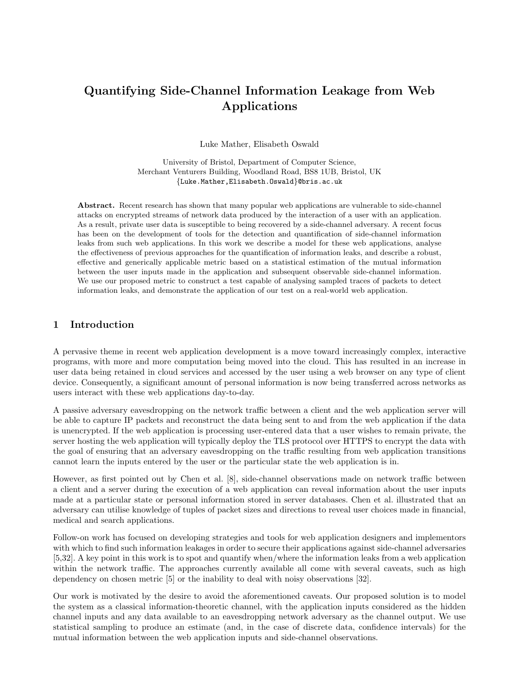# Quantifying Side-Channel Information Leakage from Web Applications

Luke Mather, Elisabeth Oswald

University of Bristol, Department of Computer Science, Merchant Venturers Building, Woodland Road, BS8 1UB, Bristol, UK {Luke.Mather,Elisabeth.Oswald}@bris.ac.uk

Abstract. Recent research has shown that many popular web applications are vulnerable to side-channel attacks on encrypted streams of network data produced by the interaction of a user with an application. As a result, private user data is susceptible to being recovered by a side-channel adversary. A recent focus has been on the development of tools for the detection and quantification of side-channel information leaks from such web applications. In this work we describe a model for these web applications, analyse the effectiveness of previous approaches for the quantification of information leaks, and describe a robust, effective and generically applicable metric based on a statistical estimation of the mutual information between the user inputs made in the application and subsequent observable side-channel information. We use our proposed metric to construct a test capable of analysing sampled traces of packets to detect information leaks, and demonstrate the application of our test on a real-world web application.

# 1 Introduction

A pervasive theme in recent web application development is a move toward increasingly complex, interactive programs, with more and more computation being moved into the cloud. This has resulted in an increase in user data being retained in cloud services and accessed by the user using a web browser on any type of client device. Consequently, a significant amount of personal information is now being transferred across networks as users interact with these web applications day-to-day.

A passive adversary eavesdropping on the network traffic between a client and the web application server will be able to capture IP packets and reconstruct the data being sent to and from the web application if the data is unencrypted. If the web application is processing user-entered data that a user wishes to remain private, the server hosting the web application will typically deploy the TLS protocol over HTTPS to encrypt the data with the goal of ensuring that an adversary eavesdropping on the traffic resulting from web application transitions cannot learn the inputs entered by the user or the particular state the web application is in.

However, as first pointed out by Chen et al. [8], side-channel observations made on network traffic between a client and a server during the execution of a web application can reveal information about the user inputs made at a particular state or personal information stored in server databases. Chen et al. illustrated that an adversary can utilise knowledge of tuples of packet sizes and directions to reveal user choices made in financial, medical and search applications.

Follow-on work has focused on developing strategies and tools for web application designers and implementors with which to find such information leakages in order to secure their applications against side-channel adversaries [5,32]. A key point in this work is to spot and quantify when/where the information leaks from a web application within the network traffic. The approaches currently available all come with several caveats, such as high dependency on chosen metric [5] or the inability to deal with noisy observations [32].

Our work is motivated by the desire to avoid the aforementioned caveats. Our proposed solution is to model the system as a classical information-theoretic channel, with the application inputs considered as the hidden channel inputs and any data available to an eavesdropping network adversary as the channel output. We use statistical sampling to produce an estimate (and, in the case of discrete data, confidence intervals) for the mutual information between the web application inputs and side-channel observations.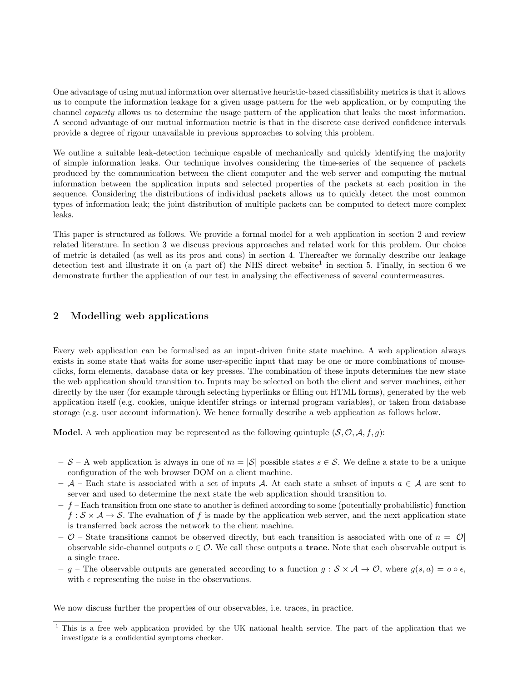One advantage of using mutual information over alternative heuristic-based classifiability metrics is that it allows us to compute the information leakage for a given usage pattern for the web application, or by computing the channel capacity allows us to determine the usage pattern of the application that leaks the most information. A second advantage of our mutual information metric is that in the discrete case derived confidence intervals provide a degree of rigour unavailable in previous approaches to solving this problem.

We outline a suitable leak-detection technique capable of mechanically and quickly identifying the majority of simple information leaks. Our technique involves considering the time-series of the sequence of packets produced by the communication between the client computer and the web server and computing the mutual information between the application inputs and selected properties of the packets at each position in the sequence. Considering the distributions of individual packets allows us to quickly detect the most common types of information leak; the joint distribution of multiple packets can be computed to detect more complex leaks.

This paper is structured as follows. We provide a formal model for a web application in section 2 and review related literature. In section 3 we discuss previous approaches and related work for this problem. Our choice of metric is detailed (as well as its pros and cons) in section 4. Thereafter we formally describe our leakage detection test and illustrate it on (a part of) the NHS direct website<sup>1</sup> in section 5. Finally, in section 6 we demonstrate further the application of our test in analysing the effectiveness of several countermeasures.

# 2 Modelling web applications

Every web application can be formalised as an input-driven finite state machine. A web application always exists in some state that waits for some user-specific input that may be one or more combinations of mouseclicks, form elements, database data or key presses. The combination of these inputs determines the new state the web application should transition to. Inputs may be selected on both the client and server machines, either directly by the user (for example through selecting hyperlinks or filling out HTML forms), generated by the web application itself (e.g. cookies, unique identifer strings or internal program variables), or taken from database storage (e.g. user account information). We hence formally describe a web application as follows below.

**Model.** A web application may be represented as the following quintuple  $(S, O, A, f, g)$ :

- S A web application is always in one of  $m = |\mathcal{S}|$  possible states  $s \in \mathcal{S}$ . We define a state to be a unique configuration of the web browser DOM on a client machine.
- A Each state is associated with a set of inputs A. At each state a subset of inputs  $a \in A$  are sent to server and used to determine the next state the web application should transition to.
- $f$  Each transition from one state to another is defined according to some (potentially probabilistic) function  $f : \mathcal{S} \times \mathcal{A} \to \mathcal{S}$ . The evaluation of f is made by the application web server, and the next application state is transferred back across the network to the client machine.
- $\mathcal{O}$  State transitions cannot be observed directly, but each transition is associated with one of  $n = |\mathcal{O}|$ observable side-channel outputs  $o \in \mathcal{O}$ . We call these outputs a **trace**. Note that each observable output is a single trace.
- g The observable outputs are generated according to a function  $g : S \times A \to \mathcal{O}$ , where  $g(s, a) = o \circ \epsilon$ , with  $\epsilon$  representing the noise in the observations.

We now discuss further the properties of our observables, i.e. traces, in practice.

<sup>1</sup> This is a free web application provided by the UK national health service. The part of the application that we investigate is a confidential symptoms checker.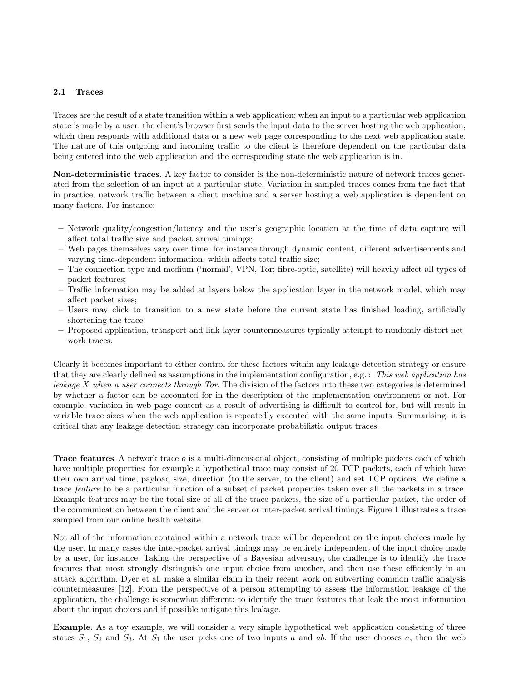#### 2.1 Traces

Traces are the result of a state transition within a web application: when an input to a particular web application state is made by a user, the client's browser first sends the input data to the server hosting the web application, which then responds with additional data or a new web page corresponding to the next web application state. The nature of this outgoing and incoming traffic to the client is therefore dependent on the particular data being entered into the web application and the corresponding state the web application is in.

Non-deterministic traces. A key factor to consider is the non-deterministic nature of network traces generated from the selection of an input at a particular state. Variation in sampled traces comes from the fact that in practice, network traffic between a client machine and a server hosting a web application is dependent on many factors. For instance:

- Network quality/congestion/latency and the user's geographic location at the time of data capture will affect total traffic size and packet arrival timings;
- Web pages themselves vary over time, for instance through dynamic content, different advertisements and varying time-dependent information, which affects total traffic size;
- The connection type and medium ('normal', VPN, Tor; fibre-optic, satellite) will heavily affect all types of packet features;
- Traffic information may be added at layers below the application layer in the network model, which may affect packet sizes;
- Users may click to transition to a new state before the current state has finished loading, artificially shortening the trace;
- Proposed application, transport and link-layer countermeasures typically attempt to randomly distort network traces.

Clearly it becomes important to either control for these factors within any leakage detection strategy or ensure that they are clearly defined as assumptions in the implementation configuration, e.g. : This web application has leakage  $X$  when a user connects through Tor. The division of the factors into these two categories is determined by whether a factor can be accounted for in the description of the implementation environment or not. For example, variation in web page content as a result of advertising is difficult to control for, but will result in variable trace sizes when the web application is repeatedly executed with the same inputs. Summarising: it is critical that any leakage detection strategy can incorporate probabilistic output traces.

Trace features A network trace o is a multi-dimensional object, consisting of multiple packets each of which have multiple properties: for example a hypothetical trace may consist of 20 TCP packets, each of which have their own arrival time, payload size, direction (to the server, to the client) and set TCP options. We define a trace feature to be a particular function of a subset of packet properties taken over all the packets in a trace. Example features may be the total size of all of the trace packets, the size of a particular packet, the order of the communication between the client and the server or inter-packet arrival timings. Figure 1 illustrates a trace sampled from our online health website.

Not all of the information contained within a network trace will be dependent on the input choices made by the user. In many cases the inter-packet arrival timings may be entirely independent of the input choice made by a user, for instance. Taking the perspective of a Bayesian adversary, the challenge is to identify the trace features that most strongly distinguish one input choice from another, and then use these efficiently in an attack algorithm. Dyer et al. make a similar claim in their recent work on subverting common traffic analysis countermeasures [12]. From the perspective of a person attempting to assess the information leakage of the application, the challenge is somewhat different: to identify the trace features that leak the most information about the input choices and if possible mitigate this leakage.

Example. As a toy example, we will consider a very simple hypothetical web application consisting of three states  $S_1$ ,  $S_2$  and  $S_3$ . At  $S_1$  the user picks one of two inputs a and ab. If the user chooses a, then the web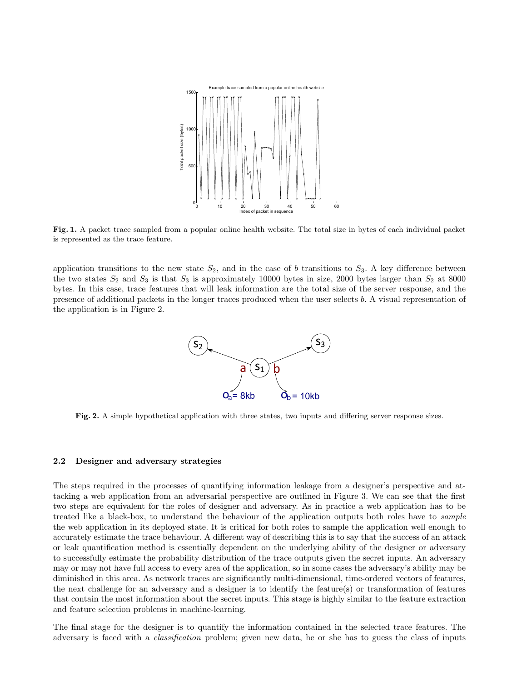

Fig. 1. A packet trace sampled from a popular online health website. The total size in bytes of each individual packet is represented as the trace feature.

application transitions to the new state  $S_2$ , and in the case of b transitions to  $S_3$ . A key difference between the two states  $S_2$  and  $S_3$  is that  $S_3$  is approximately 10000 bytes in size, 2000 bytes larger than  $S_2$  at 8000 bytes. In this case, trace features that will leak information are the total size of the server response, and the presence of additional packets in the longer traces produced when the user selects b. A visual representation of the application is in Figure 2.



Fig. 2. A simple hypothetical application with three states, two inputs and differing server response sizes.

#### 2.2 Designer and adversary strategies

The steps required in the processes of quantifying information leakage from a designer's perspective and attacking a web application from an adversarial perspective are outlined in Figure 3. We can see that the first two steps are equivalent for the roles of designer and adversary. As in practice a web application has to be treated like a black-box, to understand the behaviour of the application outputs both roles have to sample the web application in its deployed state. It is critical for both roles to sample the application well enough to accurately estimate the trace behaviour. A different way of describing this is to say that the success of an attack or leak quantification method is essentially dependent on the underlying ability of the designer or adversary to successfully estimate the probability distribution of the trace outputs given the secret inputs. An adversary may or may not have full access to every area of the application, so in some cases the adversary's ability may be diminished in this area. As network traces are significantly multi-dimensional, time-ordered vectors of features, the next challenge for an adversary and a designer is to identify the feature(s) or transformation of features that contain the most information about the secret inputs. This stage is highly similar to the feature extraction and feature selection problems in machine-learning.

The final stage for the designer is to quantify the information contained in the selected trace features. The adversary is faced with a classification problem; given new data, he or she has to guess the class of inputs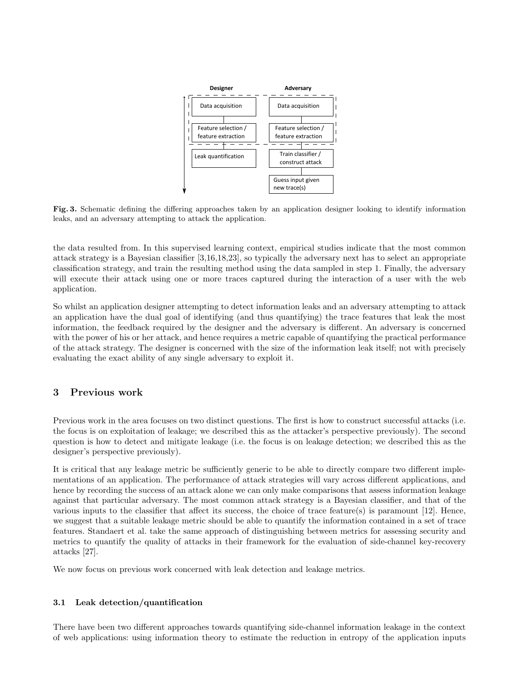

Fig. 3. Schematic defining the differing approaches taken by an application designer looking to identify information leaks, and an adversary attempting to attack the application.

the data resulted from. In this supervised learning context, empirical studies indicate that the most common attack strategy is a Bayesian classifier [3,16,18,23], so typically the adversary next has to select an appropriate classification strategy, and train the resulting method using the data sampled in step 1. Finally, the adversary will execute their attack using one or more traces captured during the interaction of a user with the web application.

So whilst an application designer attempting to detect information leaks and an adversary attempting to attack an application have the dual goal of identifying (and thus quantifying) the trace features that leak the most information, the feedback required by the designer and the adversary is different. An adversary is concerned with the power of his or her attack, and hence requires a metric capable of quantifying the practical performance of the attack strategy. The designer is concerned with the size of the information leak itself; not with precisely evaluating the exact ability of any single adversary to exploit it.

# 3 Previous work

Previous work in the area focuses on two distinct questions. The first is how to construct successful attacks (i.e. the focus is on exploitation of leakage; we described this as the attacker's perspective previously). The second question is how to detect and mitigate leakage (i.e. the focus is on leakage detection; we described this as the designer's perspective previously).

It is critical that any leakage metric be sufficiently generic to be able to directly compare two different implementations of an application. The performance of attack strategies will vary across different applications, and hence by recording the success of an attack alone we can only make comparisons that assess information leakage against that particular adversary. The most common attack strategy is a Bayesian classifier, and that of the various inputs to the classifier that affect its success, the choice of trace feature(s) is paramount [12]. Hence, we suggest that a suitable leakage metric should be able to quantify the information contained in a set of trace features. Standaert et al. take the same approach of distinguishing between metrics for assessing security and metrics to quantify the quality of attacks in their framework for the evaluation of side-channel key-recovery attacks [27].

We now focus on previous work concerned with leak detection and leakage metrics.

#### 3.1 Leak detection/quantification

There have been two different approaches towards quantifying side-channel information leakage in the context of web applications: using information theory to estimate the reduction in entropy of the application inputs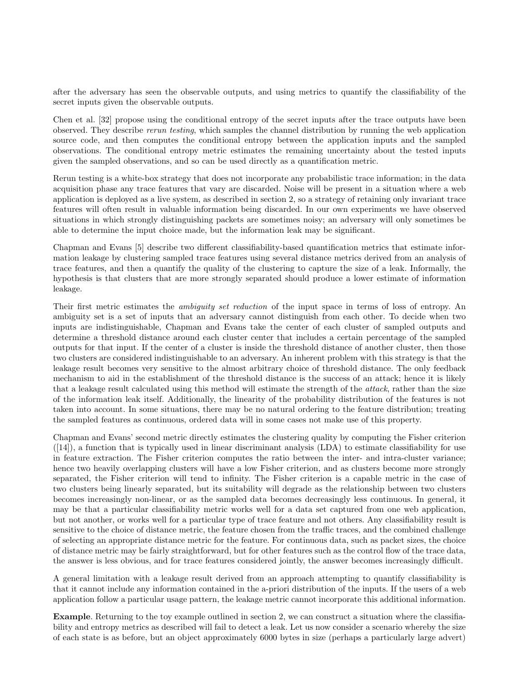after the adversary has seen the observable outputs, and using metrics to quantify the classifiability of the secret inputs given the observable outputs.

Chen et al. [32] propose using the conditional entropy of the secret inputs after the trace outputs have been observed. They describe rerun testing, which samples the channel distribution by running the web application source code, and then computes the conditional entropy between the application inputs and the sampled observations. The conditional entropy metric estimates the remaining uncertainty about the tested inputs given the sampled observations, and so can be used directly as a quantification metric.

Rerun testing is a white-box strategy that does not incorporate any probabilistic trace information; in the data acquisition phase any trace features that vary are discarded. Noise will be present in a situation where a web application is deployed as a live system, as described in section 2, so a strategy of retaining only invariant trace features will often result in valuable information being discarded. In our own experiments we have observed situations in which strongly distinguishing packets are sometimes noisy; an adversary will only sometimes be able to determine the input choice made, but the information leak may be significant.

Chapman and Evans [5] describe two different classifiability-based quantification metrics that estimate information leakage by clustering sampled trace features using several distance metrics derived from an analysis of trace features, and then a quantify the quality of the clustering to capture the size of a leak. Informally, the hypothesis is that clusters that are more strongly separated should produce a lower estimate of information leakage.

Their first metric estimates the ambiguity set reduction of the input space in terms of loss of entropy. An ambiguity set is a set of inputs that an adversary cannot distinguish from each other. To decide when two inputs are indistinguishable, Chapman and Evans take the center of each cluster of sampled outputs and determine a threshold distance around each cluster center that includes a certain percentage of the sampled outputs for that input. If the center of a cluster is inside the threshold distance of another cluster, then those two clusters are considered indistinguishable to an adversary. An inherent problem with this strategy is that the leakage result becomes very sensitive to the almost arbitrary choice of threshold distance. The only feedback mechanism to aid in the establishment of the threshold distance is the success of an attack; hence it is likely that a leakage result calculated using this method will estimate the strength of the attack, rather than the size of the information leak itself. Additionally, the linearity of the probability distribution of the features is not taken into account. In some situations, there may be no natural ordering to the feature distribution; treating the sampled features as continuous, ordered data will in some cases not make use of this property.

Chapman and Evans' second metric directly estimates the clustering quality by computing the Fisher criterion  $([14])$ , a function that is typically used in linear discriminant analysis  $(LDA)$  to estimate classifiability for use in feature extraction. The Fisher criterion computes the ratio between the inter- and intra-cluster variance; hence two heavily overlapping clusters will have a low Fisher criterion, and as clusters become more strongly separated, the Fisher criterion will tend to infinity. The Fisher criterion is a capable metric in the case of two clusters being linearly separated, but its suitability will degrade as the relationship between two clusters becomes increasingly non-linear, or as the sampled data becomes decreasingly less continuous. In general, it may be that a particular classifiability metric works well for a data set captured from one web application, but not another, or works well for a particular type of trace feature and not others. Any classifiability result is sensitive to the choice of distance metric, the feature chosen from the traffic traces, and the combined challenge of selecting an appropriate distance metric for the feature. For continuous data, such as packet sizes, the choice of distance metric may be fairly straightforward, but for other features such as the control flow of the trace data, the answer is less obvious, and for trace features considered jointly, the answer becomes increasingly difficult.

A general limitation with a leakage result derived from an approach attempting to quantify classifiability is that it cannot include any information contained in the a-priori distribution of the inputs. If the users of a web application follow a particular usage pattern, the leakage metric cannot incorporate this additional information.

Example. Returning to the toy example outlined in section 2, we can construct a situation where the classifiability and entropy metrics as described will fail to detect a leak. Let us now consider a scenario whereby the size of each state is as before, but an object approximately 6000 bytes in size (perhaps a particularly large advert)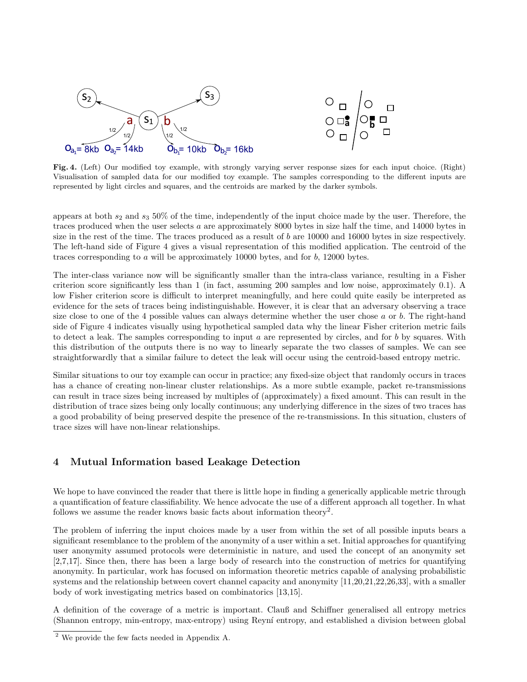

Fig. 4. (Left) Our modified toy example, with strongly varying server response sizes for each input choice. (Right) Visualisation of sampled data for our modified toy example. The samples corresponding to the different inputs are represented by light circles and squares, and the centroids are marked by the darker symbols.

appears at both  $s_2$  and  $s_3$  50% of the time, independently of the input choice made by the user. Therefore, the traces produced when the user selects a are approximately 8000 bytes in size half the time, and 14000 bytes in size in the rest of the time. The traces produced as a result of  $b$  are 10000 and 16000 bytes in size respectively. The left-hand side of Figure 4 gives a visual representation of this modified application. The centroid of the traces corresponding to a will be approximately 10000 bytes, and for b, 12000 bytes.

The inter-class variance now will be significantly smaller than the intra-class variance, resulting in a Fisher criterion score significantly less than 1 (in fact, assuming 200 samples and low noise, approximately 0.1). A low Fisher criterion score is difficult to interpret meaningfully, and here could quite easily be interpreted as evidence for the sets of traces being indistinguishable. However, it is clear that an adversary observing a trace size close to one of the 4 possible values can always determine whether the user chose  $a$  or  $b$ . The right-hand side of Figure 4 indicates visually using hypothetical sampled data why the linear Fisher criterion metric fails to detect a leak. The samples corresponding to input a are represented by circles, and for b by squares. With this distribution of the outputs there is no way to linearly separate the two classes of samples. We can see straightforwardly that a similar failure to detect the leak will occur using the centroid-based entropy metric.

Similar situations to our toy example can occur in practice; any fixed-size object that randomly occurs in traces has a chance of creating non-linear cluster relationships. As a more subtle example, packet re-transmissions can result in trace sizes being increased by multiples of (approximately) a fixed amount. This can result in the distribution of trace sizes being only locally continuous; any underlying difference in the sizes of two traces has a good probability of being preserved despite the presence of the re-transmissions. In this situation, clusters of trace sizes will have non-linear relationships.

# 4 Mutual Information based Leakage Detection

We hope to have convinced the reader that there is little hope in finding a generically applicable metric through a quantification of feature classifiability. We hence advocate the use of a different approach all together. In what follows we assume the reader knows basic facts about information theory<sup>2</sup>.

The problem of inferring the input choices made by a user from within the set of all possible inputs bears a significant resemblance to the problem of the anonymity of a user within a set. Initial approaches for quantifying user anonymity assumed protocols were deterministic in nature, and used the concept of an anonymity set [2,7,17]. Since then, there has been a large body of research into the construction of metrics for quantifying anonymity. In particular, work has focused on information theoretic metrics capable of analysing probabilistic systems and the relationship between covert channel capacity and anonymity [11,20,21,22,26,33], with a smaller body of work investigating metrics based on combinatorics [13,15].

A definition of the coverage of a metric is important. Clauß and Schiffner generalised all entropy metrics (Shannon entropy, min-entropy, max-entropy) using Reyn´ı entropy, and established a division between global

<sup>2</sup> We provide the few facts needed in Appendix A.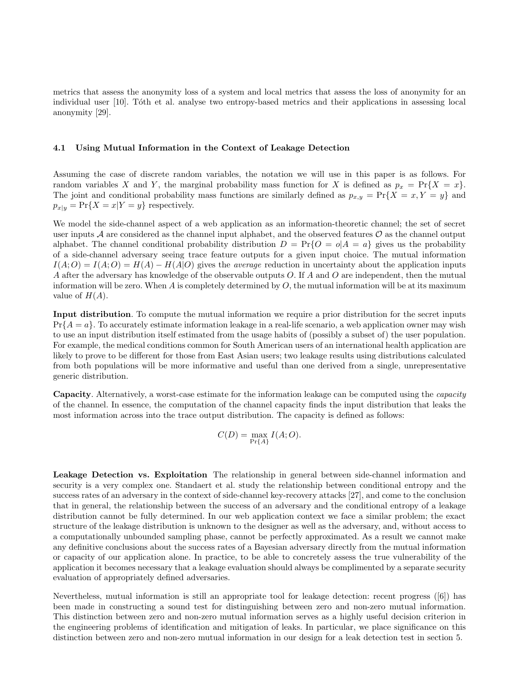metrics that assess the anonymity loss of a system and local metrics that assess the loss of anonymity for an individual user [10]. Toth et al. analyse two entropy-based metrics and their applications in assessing local anonymity [29].

#### 4.1 Using Mutual Information in the Context of Leakage Detection

Assuming the case of discrete random variables, the notation we will use in this paper is as follows. For random variables X and Y, the marginal probability mass function for X is defined as  $p_x = \Pr{X = x}$ . The joint and conditional probability mass functions are similarly defined as  $p_{x,y} = \Pr\{X = x, Y = y\}$  and  $p_{x|y} = \Pr\{X = x|Y = y\}$  respectively.

We model the side-channel aspect of a web application as an information-theoretic channel; the set of secret user inputs A are considered as the channel input alphabet, and the observed features  $\mathcal O$  as the channel output alphabet. The channel conditional probability distribution  $D = Pr\{O = o|A = a\}$  gives us the probability of a side-channel adversary seeing trace feature outputs for a given input choice. The mutual information  $I(A;O) = I(A;O) = H(A) - H(A|O)$  gives the *average* reduction in uncertainty about the application inputs A after the adversary has knowledge of the observable outputs O. If A and O are independent, then the mutual information will be zero. When  $A$  is completely determined by  $O$ , the mutual information will be at its maximum value of  $H(A)$ .

Input distribution. To compute the mutual information we require a prior distribution for the secret inputs  $Pr{A = a}$ . To accurately estimate information leakage in a real-life scenario, a web application owner may wish to use an input distribution itself estimated from the usage habits of (possibly a subset of) the user population. For example, the medical conditions common for South American users of an international health application are likely to prove to be different for those from East Asian users; two leakage results using distributions calculated from both populations will be more informative and useful than one derived from a single, unrepresentative generic distribution.

Capacity. Alternatively, a worst-case estimate for the information leakage can be computed using the capacity of the channel. In essence, the computation of the channel capacity finds the input distribution that leaks the most information across into the trace output distribution. The capacity is defined as follows:

$$
C(D) = \max_{\Pr\{A\}} I(A;O).
$$

Leakage Detection vs. Exploitation The relationship in general between side-channel information and security is a very complex one. Standaert et al. study the relationship between conditional entropy and the success rates of an adversary in the context of side-channel key-recovery attacks [27], and come to the conclusion that in general, the relationship between the success of an adversary and the conditional entropy of a leakage distribution cannot be fully determined. In our web application context we face a similar problem; the exact structure of the leakage distribution is unknown to the designer as well as the adversary, and, without access to a computationally unbounded sampling phase, cannot be perfectly approximated. As a result we cannot make any definitive conclusions about the success rates of a Bayesian adversary directly from the mutual information or capacity of our application alone. In practice, to be able to concretely assess the true vulnerability of the application it becomes necessary that a leakage evaluation should always be complimented by a separate security evaluation of appropriately defined adversaries.

Nevertheless, mutual information is still an appropriate tool for leakage detection: recent progress ([6]) has been made in constructing a sound test for distinguishing between zero and non-zero mutual information. This distinction between zero and non-zero mutual information serves as a highly useful decision criterion in the engineering problems of identification and mitigation of leaks. In particular, we place significance on this distinction between zero and non-zero mutual information in our design for a leak detection test in section 5.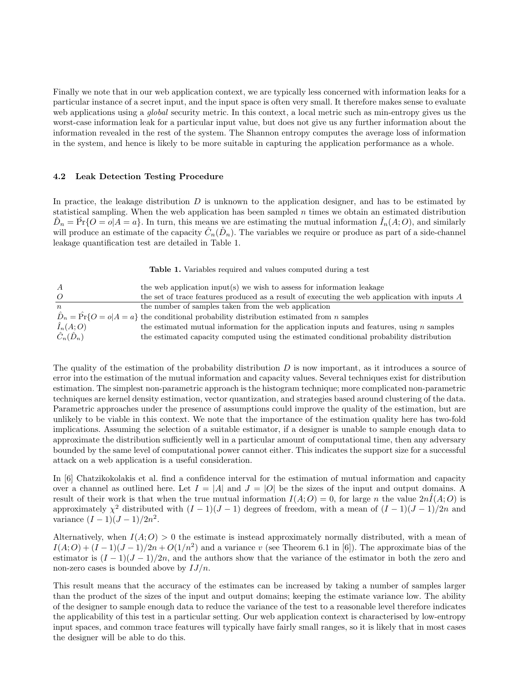Finally we note that in our web application context, we are typically less concerned with information leaks for a particular instance of a secret input, and the input space is often very small. It therefore makes sense to evaluate web applications using a *global* security metric. In this context, a local metric such as min-entropy gives us the worst-case information leak for a particular input value, but does not give us any further information about the information revealed in the rest of the system. The Shannon entropy computes the average loss of information in the system, and hence is likely to be more suitable in capturing the application performance as a whole.

#### 4.2 Leak Detection Testing Procedure

In practice, the leakage distribution  $D$  is unknown to the application designer, and has to be estimated by statistical sampling. When the web application has been sampled  $n$  times we obtain an estimated distribution  $\hat{D}_n = \hat{\Pr} \{ O = o | A = a \}.$  In turn, this means we are estimating the mutual information  $\hat{I}_n(A; O)$ , and similarly will produce an estimate of the capacity  $\hat{C}_n(\hat{D}_n)$ . The variables we require or produce as part of a side-channel leakage quantification test are detailed in Table 1.

Table 1. Variables required and values computed during a test

| $\boldsymbol{A}$       | the web application input(s) we wish to assess for information leakage                                       |
|------------------------|--------------------------------------------------------------------------------------------------------------|
|                        | the set of trace features produced as a result of executing the web application with inputs A                |
| $\boldsymbol{n}$       | the number of samples taken from the web application                                                         |
|                        | $\hat{D}_n = \hat{Pr}{O = o A = a}$ the conditional probability distribution estimated from <i>n</i> samples |
| $\hat{I}_n(A;O)$       | the estimated mutual information for the application inputs and features, using $n$ samples                  |
| $\hat{C}_n(\hat{D}_n)$ | the estimated capacity computed using the estimated conditional probability distribution                     |

The quality of the estimation of the probability distribution  $D$  is now important, as it introduces a source of error into the estimation of the mutual information and capacity values. Several techniques exist for distribution estimation. The simplest non-parametric approach is the histogram technique; more complicated non-parametric techniques are kernel density estimation, vector quantization, and strategies based around clustering of the data. Parametric approaches under the presence of assumptions could improve the quality of the estimation, but are unlikely to be viable in this context. We note that the importance of the estimation quality here has two-fold implications. Assuming the selection of a suitable estimator, if a designer is unable to sample enough data to approximate the distribution sufficiently well in a particular amount of computational time, then any adversary bounded by the same level of computational power cannot either. This indicates the support size for a successful attack on a web application is a useful consideration.

In [6] Chatzikokolakis et al. find a confidence interval for the estimation of mutual information and capacity over a channel as outlined here. Let  $I = |A|$  and  $J = |O|$  be the sizes of the input and output domains. A result of their work is that when the true mutual information  $I(A;O) = 0$ , for large n the value  $2n\tilde{I}(A;O)$  is approximately  $\chi^2$  distributed with  $(I-1)(J-1)$  degrees of freedom, with a mean of  $(I-1)(J-1)/2n$  and variance  $(I-1)(J-1)/2n^2$ .

Alternatively, when  $I(A; O) > 0$  the estimate is instead approximately normally distributed, with a mean of  $I(A;O) + (I-1)(J-1)/2n + O(1/n^2)$  and a variance v (see Theorem 6.1 in [6]). The approximate bias of the estimator is  $(I-1)(J-1)/2n$ , and the authors show that the variance of the estimator in both the zero and non-zero cases is bounded above by  $I J/n$ .

This result means that the accuracy of the estimates can be increased by taking a number of samples larger than the product of the sizes of the input and output domains; keeping the estimate variance low. The ability of the designer to sample enough data to reduce the variance of the test to a reasonable level therefore indicates the applicability of this test in a particular setting. Our web application context is characterised by low-entropy input spaces, and common trace features will typically have fairly small ranges, so it is likely that in most cases the designer will be able to do this.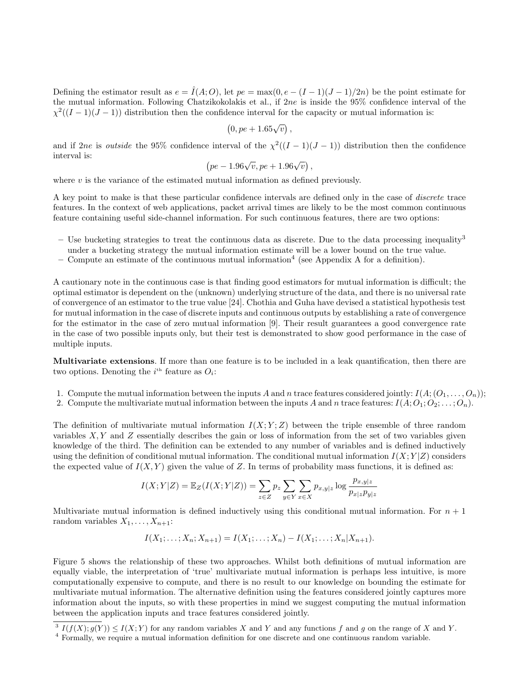Defining the estimator result as  $e = \hat{I}(A; O)$ , let  $pe = \max(0, e - (I - 1)(J - 1)/2n)$  be the point estimate for the mutual information. Following Chatzikokolakis et al., if  $2ne$  is inside the 95% confidence interval of the  $\chi^2((I-1)(J-1))$  distribution then the confidence interval for the capacity or mutual information is:

$$
(0, pe + 1.65\sqrt{v}),
$$

and if 2ne is outside the 95% confidence interval of the  $\chi^2((I-1)(J-1))$  distribution then the confidence interval is:

$$
(pe-1.96\sqrt{v}, pe+1.96\sqrt{v}),
$$

where  $v$  is the variance of the estimated mutual information as defined previously.

A key point to make is that these particular confidence intervals are defined only in the case of discrete trace features. In the context of web applications, packet arrival times are likely to be the most common continuous feature containing useful side-channel information. For such continuous features, there are two options:

- Use bucketing strategies to treat the continuous data as discrete. Due to the data processing inequality<sup>3</sup> under a bucketing strategy the mutual information estimate will be a lower bound on the true value.
- Compute an estimate of the continuous mutual information<sup>4</sup> (see Appendix A for a definition).

A cautionary note in the continuous case is that finding good estimators for mutual information is difficult; the optimal estimator is dependent on the (unknown) underlying structure of the data, and there is no universal rate of convergence of an estimator to the true value [24]. Chothia and Guha have devised a statistical hypothesis test for mutual information in the case of discrete inputs and continuous outputs by establishing a rate of convergence for the estimator in the case of zero mutual information [9]. Their result guarantees a good convergence rate in the case of two possible inputs only, but their test is demonstrated to show good performance in the case of multiple inputs.

Multivariate extensions. If more than one feature is to be included in a leak quantification, then there are two options. Denoting the  $i<sup>th</sup>$  feature as  $O_i$ :

- 1. Compute the mutual information between the inputs A and n trace features considered jointly:  $I(A; (O_1, \ldots, O_n))$ ;
- 2. Compute the multivariate mutual information between the inputs A and n trace features:  $I(A; O_1; O_2; \ldots; O_n)$ .

The definition of multivariate mutual information  $I(X; Y; Z)$  between the triple ensemble of three random variables  $X, Y$  and  $Z$  essentially describes the gain or loss of information from the set of two variables given knowledge of the third. The definition can be extended to any number of variables and is defined inductively using the definition of conditional mutual information. The conditional mutual information  $I(X; Y|Z)$  considers the expected value of  $I(X, Y)$  given the value of Z. In terms of probability mass functions, it is defined as:

$$
I(X;Y|Z) = \mathbb{E}_Z(I(X;Y|Z)) = \sum_{z \in Z} p_z \sum_{y \in Y} \sum_{x \in X} p_{x,y|z} \log \frac{p_{x,y|z}}{p_{x|z}p_{y|z}}
$$

Multivariate mutual information is defined inductively using this conditional mutual information. For  $n + 1$ random variables  $X_1, \ldots, X_{n+1}$ :

$$
I(X_1; \ldots; X_n; X_{n+1}) = I(X_1; \ldots; X_n) - I(X_1; \ldots; X_n | X_{n+1}).
$$

Figure 5 shows the relationship of these two approaches. Whilst both definitions of mutual information are equally viable, the interpretation of 'true' multivariate mutual information is perhaps less intuitive, is more computationally expensive to compute, and there is no result to our knowledge on bounding the estimate for multivariate mutual information. The alternative definition using the features considered jointly captures more information about the inputs, so with these properties in mind we suggest computing the mutual information between the application inputs and trace features considered jointly.

 $3 I(f(X); g(Y)) \leq I(X; Y)$  for any random variables X and Y and any functions f and g on the range of X and Y.

<sup>&</sup>lt;sup>4</sup> Formally, we require a mutual information definition for one discrete and one continuous random variable.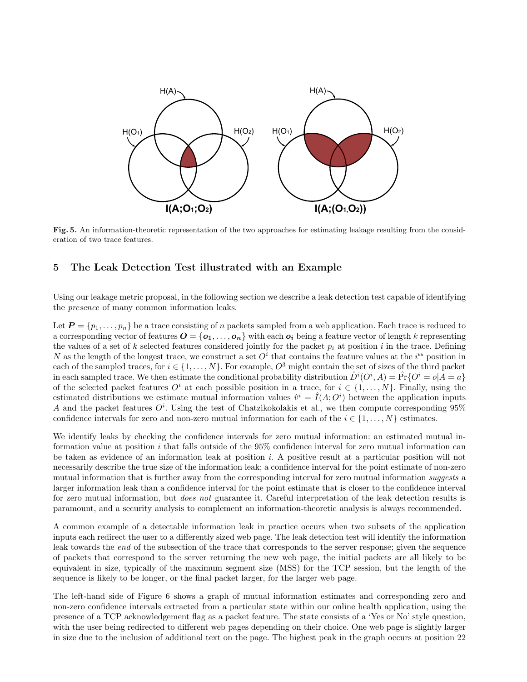

Fig. 5. An information-theoretic representation of the two approaches for estimating leakage resulting from the consideration of two trace features.

### 5 The Leak Detection Test illustrated with an Example

Using our leakage metric proposal, in the following section we describe a leak detection test capable of identifying the presence of many common information leaks.

Let  $P = \{p_1, \ldots, p_n\}$  be a trace consisting of n packets sampled from a web application. Each trace is reduced to a corresponding vector of features  $\boldsymbol{O} = {\bf{o}_1, \ldots, \bf{o}_n}$  with each  $\boldsymbol{o}_i$  being a feature vector of length k representing the values of a set of k selected features considered jointly for the packet  $p_i$  at position i in the trace. Defining N as the length of the longest trace, we construct a set  $O^i$  that contains the feature values at the  $i^{\text{th}}$  position in each of the sampled traces, for  $i \in \{1, \ldots, N\}$ . For example,  $O^3$  might contain the set of sizes of the third packet in each sampled trace. We then estimate the conditional probability distribution  $\hat{D}^i(O^i, A) = \hat{\Pr}\{O^i = o | A = a\}$ of the selected packet features  $O^i$  at each possible position in a trace, for  $i \in \{1, \ldots, N\}$ . Finally, using the estimated distributions we estimate mutual information values  $\hat{v}^i = \hat{I}(A; O^i)$  between the application inputs A and the packet features  $O<sup>i</sup>$ . Using the test of Chatzikokolakis et al., we then compute corresponding 95% confidence intervals for zero and non-zero mutual information for each of the  $i \in \{1, \ldots, N\}$  estimates.

We identify leaks by checking the confidence intervals for zero mutual information: an estimated mutual information value at position i that falls outside of the 95% confidence interval for zero mutual information can be taken as evidence of an information leak at position i. A positive result at a particular position will not necessarily describe the true size of the information leak; a confidence interval for the point estimate of non-zero mutual information that is further away from the corresponding interval for zero mutual information *suggests* a larger information leak than a confidence interval for the point estimate that is closer to the confidence interval for zero mutual information, but *does not* guarantee it. Careful interpretation of the leak detection results is paramount, and a security analysis to complement an information-theoretic analysis is always recommended.

A common example of a detectable information leak in practice occurs when two subsets of the application inputs each redirect the user to a differently sized web page. The leak detection test will identify the information leak towards the end of the subsection of the trace that corresponds to the server response; given the sequence of packets that correspond to the server returning the new web page, the initial packets are all likely to be equivalent in size, typically of the maximum segment size (MSS) for the TCP session, but the length of the sequence is likely to be longer, or the final packet larger, for the larger web page.

The left-hand side of Figure 6 shows a graph of mutual information estimates and corresponding zero and non-zero confidence intervals extracted from a particular state within our online health application, using the presence of a TCP acknowledgement flag as a packet feature. The state consists of a 'Yes or No' style question, with the user being redirected to different web pages depending on their choice. One web page is slightly larger in size due to the inclusion of additional text on the page. The highest peak in the graph occurs at position 22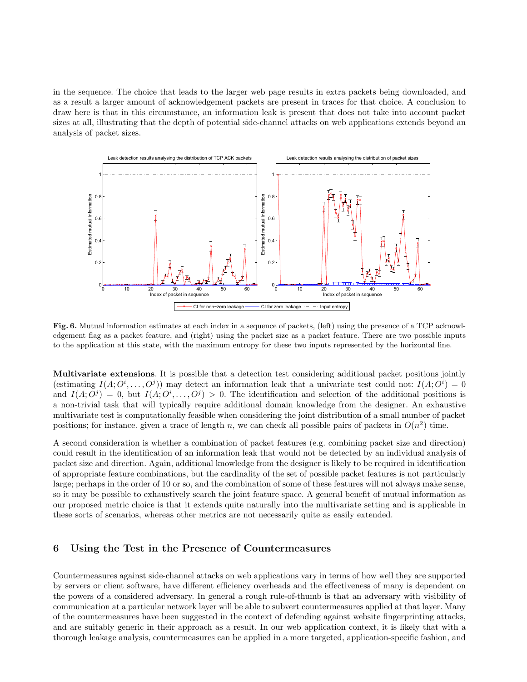in the sequence. The choice that leads to the larger web page results in extra packets being downloaded, and as a result a larger amount of acknowledgement packets are present in traces for that choice. A conclusion to draw here is that in this circumstance, an information leak is present that does not take into account packet sizes at all, illustrating that the depth of potential side-channel attacks on web applications extends beyond an analysis of packet sizes.



Fig. 6. Mutual information estimates at each index in a sequence of packets, (left) using the presence of a TCP acknowledgement flag as a packet feature, and (right) using the packet size as a packet feature. There are two possible inputs to the application at this state, with the maximum entropy for these two inputs represented by the horizontal line.

Multivariate extensions. It is possible that a detection test considering additional packet positions jointly (estimating  $I(A; O^i, \ldots, O^j)$ ) may detect an information leak that a univariate test could not:  $I(A; O^i) = 0$ and  $I(A; O^j) = 0$ , but  $I(A; O^i, \ldots, O^j) > 0$ . The identification and selection of the additional positions is a non-trivial task that will typically require additional domain knowledge from the designer. An exhaustive multivariate test is computationally feasible when considering the joint distribution of a small number of packet positions; for instance, given a trace of length n, we can check all possible pairs of packets in  $O(n^2)$  time.

A second consideration is whether a combination of packet features (e.g. combining packet size and direction) could result in the identification of an information leak that would not be detected by an individual analysis of packet size and direction. Again, additional knowledge from the designer is likely to be required in identification of appropriate feature combinations, but the cardinality of the set of possible packet features is not particularly large; perhaps in the order of 10 or so, and the combination of some of these features will not always make sense, so it may be possible to exhaustively search the joint feature space. A general benefit of mutual information as our proposed metric choice is that it extends quite naturally into the multivariate setting and is applicable in these sorts of scenarios, whereas other metrics are not necessarily quite as easily extended.

### 6 Using the Test in the Presence of Countermeasures

Countermeasures against side-channel attacks on web applications vary in terms of how well they are supported by servers or client software, have different efficiency overheads and the effectiveness of many is dependent on the powers of a considered adversary. In general a rough rule-of-thumb is that an adversary with visibility of communication at a particular network layer will be able to subvert countermeasures applied at that layer. Many of the countermeasures have been suggested in the context of defending against website fingerprinting attacks, and are suitably generic in their approach as a result. In our web application context, it is likely that with a thorough leakage analysis, countermeasures can be applied in a more targeted, application-specific fashion, and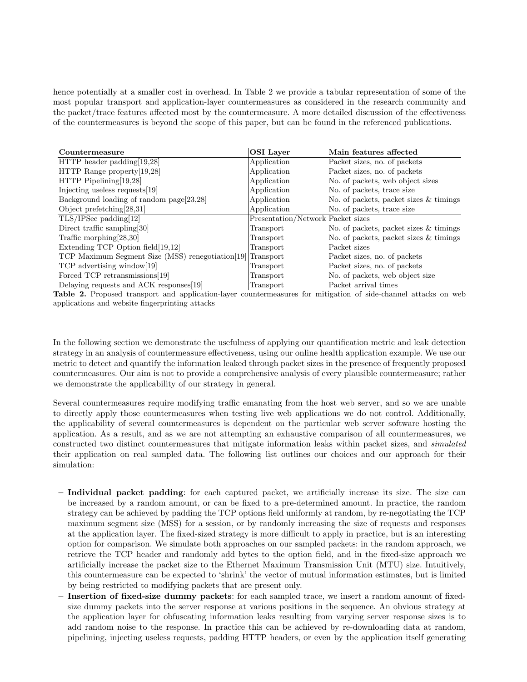hence potentially at a smaller cost in overhead. In Table 2 we provide a tabular representation of some of the most popular transport and application-layer countermeasures as considered in the research community and the packet/trace features affected most by the countermeasure. A more detailed discussion of the effectiveness of the countermeasures is beyond the scope of this paper, but can be found in the referenced publications.

| Countermeasure                                             | <b>OSI</b> Layer                  | Main features affected                   |
|------------------------------------------------------------|-----------------------------------|------------------------------------------|
| $HTTP$ header padding [19,28]                              | Application                       | Packet sizes, no. of packets             |
| HTTP Range property [19,28]                                | Application                       | Packet sizes, no. of packets             |
| $HTTP$ Pipelining [19,28]                                  | Application                       | No. of packets, web object sizes         |
| Injecting useless requests [19]                            | Application                       | No. of packets, trace size               |
| Background loading of random page[23,28]                   | Application                       | No. of packets, packet sizes & timings   |
| Object prefetching $[28,31]$                               | Application                       | No. of packets, trace size               |
| $TLS/IPSec$ padding $[12]$                                 | Presentation/Network Packet sizes |                                          |
| Direct traffic sampling [30]                               | Transport                         | No. of packets, packet sizes & timings   |
| Traffic morphing $[28,30]$                                 | Transport                         | No. of packets, packet sizes $&$ timings |
| Extending TCP Option field [19,12]                         | Transport                         | Packet sizes                             |
| TCP Maximum Segment Size (MSS) renegotiation[19] Transport |                                   | Packet sizes, no. of packets             |
| TCP advertising window[19]                                 | Transport                         | Packet sizes, no. of packets             |
| Forced TCP retransmissions[19]                             | Transport                         | No. of packets, web object size          |
| Delaying requests and ACK responses[19]                    | Transport                         | Packet arrival times                     |

Table 2. Proposed transport and application-layer countermeasures for mitigation of side-channel attacks on web applications and website fingerprinting attacks

In the following section we demonstrate the usefulness of applying our quantification metric and leak detection strategy in an analysis of countermeasure effectiveness, using our online health application example. We use our metric to detect and quantify the information leaked through packet sizes in the presence of frequently proposed countermeasures. Our aim is not to provide a comprehensive analysis of every plausible countermeasure; rather we demonstrate the applicability of our strategy in general.

Several countermeasures require modifying traffic emanating from the host web server, and so we are unable to directly apply those countermeasures when testing live web applications we do not control. Additionally, the applicability of several countermeasures is dependent on the particular web server software hosting the application. As a result, and as we are not attempting an exhaustive comparison of all countermeasures, we constructed two distinct countermeasures that mitigate information leaks within packet sizes, and simulated their application on real sampled data. The following list outlines our choices and our approach for their simulation:

- Individual packet padding: for each captured packet, we artificially increase its size. The size can be increased by a random amount, or can be fixed to a pre-determined amount. In practice, the random strategy can be achieved by padding the TCP options field uniformly at random, by re-negotiating the TCP maximum segment size (MSS) for a session, or by randomly increasing the size of requests and responses at the application layer. The fixed-sized strategy is more difficult to apply in practice, but is an interesting option for comparison. We simulate both approaches on our sampled packets: in the random approach, we retrieve the TCP header and randomly add bytes to the option field, and in the fixed-size approach we artificially increase the packet size to the Ethernet Maximum Transmission Unit (MTU) size. Intuitively, this countermeasure can be expected to 'shrink' the vector of mutual information estimates, but is limited by being restricted to modifying packets that are present only.
- Insertion of fixed-size dummy packets: for each sampled trace, we insert a random amount of fixedsize dummy packets into the server response at various positions in the sequence. An obvious strategy at the application layer for obfuscating information leaks resulting from varying server response sizes is to add random noise to the response. In practice this can be achieved by re-downloading data at random, pipelining, injecting useless requests, padding HTTP headers, or even by the application itself generating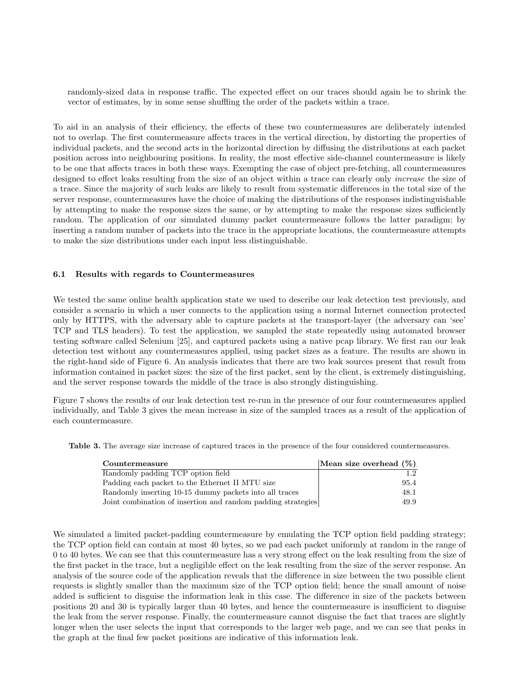randomly-sized data in response traffic. The expected effect on our traces should again be to shrink the vector of estimates, by in some sense shuffling the order of the packets within a trace.

To aid in an analysis of their efficiency, the effects of these two countermeasures are deliberately intended not to overlap. The first countermeasure affects traces in the vertical direction, by distorting the properties of individual packets, and the second acts in the horizontal direction by diffusing the distributions at each packet position across into neighbouring positions. In reality, the most effective side-channel countermeasure is likely to be one that affects traces in both these ways. Exempting the case of object pre-fetching, all countermeasures designed to effect leaks resulting from the size of an object within a trace can clearly only *increase* the size of a trace. Since the majority of such leaks are likely to result from systematic differences in the total size of the server response, countermeasures have the choice of making the distributions of the responses indistinguishable by attempting to make the response sizes the same, or by attempting to make the response sizes sufficiently random. The application of our simulated dummy packet countermeasure follows the latter paradigm; by inserting a random number of packets into the trace in the appropriate locations, the countermeasure attempts to make the size distributions under each input less distinguishable.

#### 6.1 Results with regards to Countermeasures

We tested the same online health application state we used to describe our leak detection test previously, and consider a scenario in which a user connects to the application using a normal Internet connection protected only by HTTPS, with the adversary able to capture packets at the transport-layer (the adversary can 'see' TCP and TLS headers). To test the application, we sampled the state repeatedly using automated browser testing software called Selenium [25], and captured packets using a native pcap library. We first ran our leak detection test without any countermeasures applied, using packet sizes as a feature. The results are shown in the right-hand side of Figure 6. An analysis indicates that there are two leak sources present that result from information contained in packet sizes: the size of the first packet, sent by the client, is extremely distinguishing, and the server response towards the middle of the trace is also strongly distinguishing.

Figure 7 shows the results of our leak detection test re-run in the presence of our four countermeasures applied individually, and Table 3 gives the mean increase in size of the sampled traces as a result of the application of each countermeasure.

Table 3. The average size increase of captured traces in the presence of the four considered countermeasures.

| Countermeasure                                               | Mean size overhead $(\%)$ |
|--------------------------------------------------------------|---------------------------|
| Randomly padding TCP option field                            | 1.2 <sub>1</sub>          |
| Padding each packet to the Ethernet II MTU size              | 95.4                      |
| Randomly inserting 10-15 dummy packets into all traces       | 48.1                      |
| Joint combination of insertion and random padding strategies | 49.9                      |

We simulated a limited packet-padding countermeasure by emulating the TCP option field padding strategy; the TCP option field can contain at most 40 bytes, so we pad each packet uniformly at random in the range of 0 to 40 bytes. We can see that this countermeasure has a very strong effect on the leak resulting from the size of the first packet in the trace, but a negligible effect on the leak resulting from the size of the server response. An analysis of the source code of the application reveals that the difference in size between the two possible client requests is slightly smaller than the maximum size of the TCP option field; hence the small amount of noise added is sufficient to disguise the information leak in this case. The difference in size of the packets between positions 20 and 30 is typically larger than 40 bytes, and hence the countermeasure is insufficient to disguise the leak from the server response. Finally, the countermeasure cannot disguise the fact that traces are slightly longer when the user selects the input that corresponds to the larger web page, and we can see that peaks in the graph at the final few packet positions are indicative of this information leak.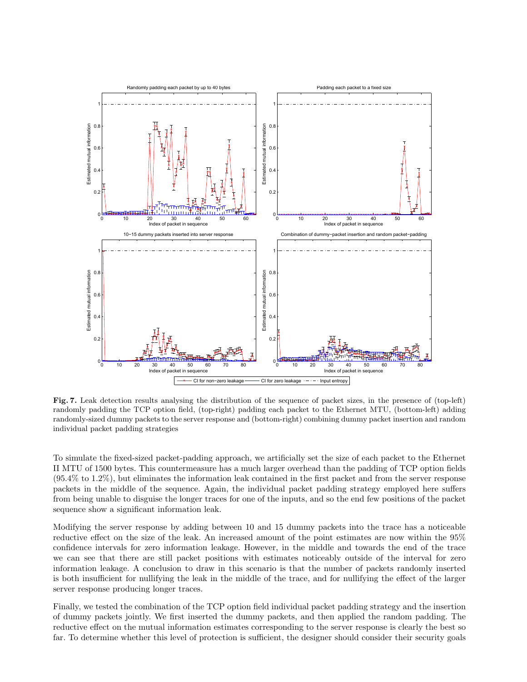

Fig. 7. Leak detection results analysing the distribution of the sequence of packet sizes, in the presence of (top-left) randomly padding the TCP option field, (top-right) padding each packet to the Ethernet MTU, (bottom-left) adding randomly-sized dummy packets to the server response and (bottom-right) combining dummy packet insertion and random individual packet padding strategies

To simulate the fixed-sized packet-padding approach, we artificially set the size of each packet to the Ethernet II MTU of 1500 bytes. This countermeasure has a much larger overhead than the padding of TCP option fields (95.4% to 1.2%), but eliminates the information leak contained in the first packet and from the server response packets in the middle of the sequence. Again, the individual packet padding strategy employed here suffers from being unable to disguise the longer traces for one of the inputs, and so the end few positions of the packet sequence show a significant information leak.

Modifying the server response by adding between 10 and 15 dummy packets into the trace has a noticeable reductive effect on the size of the leak. An increased amount of the point estimates are now within the 95% confidence intervals for zero information leakage. However, in the middle and towards the end of the trace we can see that there are still packet positions with estimates noticeably outside of the interval for zero information leakage. A conclusion to draw in this scenario is that the number of packets randomly inserted is both insufficient for nullifying the leak in the middle of the trace, and for nullifying the effect of the larger server response producing longer traces.

Finally, we tested the combination of the TCP option field individual packet padding strategy and the insertion of dummy packets jointly. We first inserted the dummy packets, and then applied the random padding. The reductive effect on the mutual information estimates corresponding to the server response is clearly the best so far. To determine whether this level of protection is sufficient, the designer should consider their security goals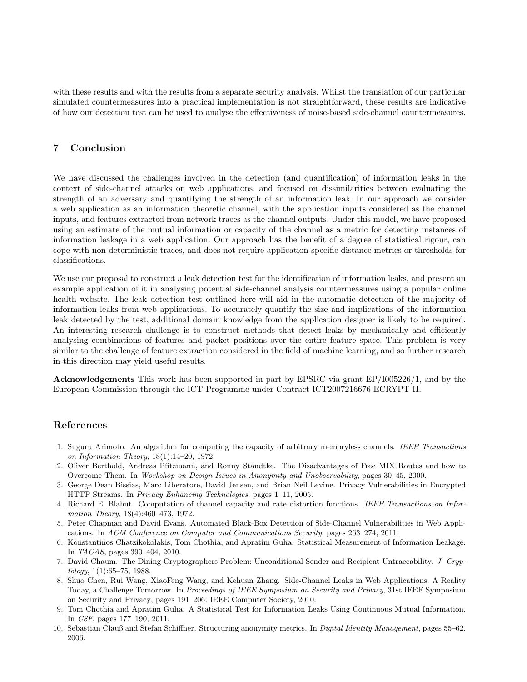with these results and with the results from a separate security analysis. Whilst the translation of our particular simulated countermeasures into a practical implementation is not straightforward, these results are indicative of how our detection test can be used to analyse the effectiveness of noise-based side-channel countermeasures.

# 7 Conclusion

We have discussed the challenges involved in the detection (and quantification) of information leaks in the context of side-channel attacks on web applications, and focused on dissimilarities between evaluating the strength of an adversary and quantifying the strength of an information leak. In our approach we consider a web application as an information theoretic channel, with the application inputs considered as the channel inputs, and features extracted from network traces as the channel outputs. Under this model, we have proposed using an estimate of the mutual information or capacity of the channel as a metric for detecting instances of information leakage in a web application. Our approach has the benefit of a degree of statistical rigour, can cope with non-deterministic traces, and does not require application-specific distance metrics or thresholds for classifications.

We use our proposal to construct a leak detection test for the identification of information leaks, and present an example application of it in analysing potential side-channel analysis countermeasures using a popular online health website. The leak detection test outlined here will aid in the automatic detection of the majority of information leaks from web applications. To accurately quantify the size and implications of the information leak detected by the test, additional domain knowledge from the application designer is likely to be required. An interesting research challenge is to construct methods that detect leaks by mechanically and efficiently analysing combinations of features and packet positions over the entire feature space. This problem is very similar to the challenge of feature extraction considered in the field of machine learning, and so further research in this direction may yield useful results.

Acknowledgements This work has been supported in part by EPSRC via grant EP/I005226/1, and by the European Commission through the ICT Programme under Contract ICT2007216676 ECRYPT II.

# References

- 1. Suguru Arimoto. An algorithm for computing the capacity of arbitrary memoryless channels. IEEE Transactions on Information Theory, 18(1):14–20, 1972.
- 2. Oliver Berthold, Andreas Pfitzmann, and Ronny Standtke. The Disadvantages of Free MIX Routes and how to Overcome Them. In Workshop on Design Issues in Anonymity and Unobservability, pages 30–45, 2000.
- 3. George Dean Bissias, Marc Liberatore, David Jensen, and Brian Neil Levine. Privacy Vulnerabilities in Encrypted HTTP Streams. In Privacy Enhancing Technologies, pages 1–11, 2005.
- 4. Richard E. Blahut. Computation of channel capacity and rate distortion functions. IEEE Transactions on Information Theory, 18(4):460–473, 1972.
- 5. Peter Chapman and David Evans. Automated Black-Box Detection of Side-Channel Vulnerabilities in Web Applications. In ACM Conference on Computer and Communications Security, pages 263–274, 2011.
- 6. Konstantinos Chatzikokolakis, Tom Chothia, and Apratim Guha. Statistical Measurement of Information Leakage. In TACAS, pages 390–404, 2010.
- 7. David Chaum. The Dining Cryptographers Problem: Unconditional Sender and Recipient Untraceability. J. Cryp $tology, 1(1): 65-75, 1988.$
- 8. Shuo Chen, Rui Wang, XiaoFeng Wang, and Kehuan Zhang. Side-Channel Leaks in Web Applications: A Reality Today, a Challenge Tomorrow. In Proceedings of IEEE Symposium on Security and Privacy, 31st IEEE Symposium on Security and Privacy, pages 191–206. IEEE Computer Society, 2010.
- 9. Tom Chothia and Apratim Guha. A Statistical Test for Information Leaks Using Continuous Mutual Information. In CSF, pages 177–190, 2011.
- 10. Sebastian Clauß and Stefan Schiffner. Structuring anonymity metrics. In Digital Identity Management, pages 55–62, 2006.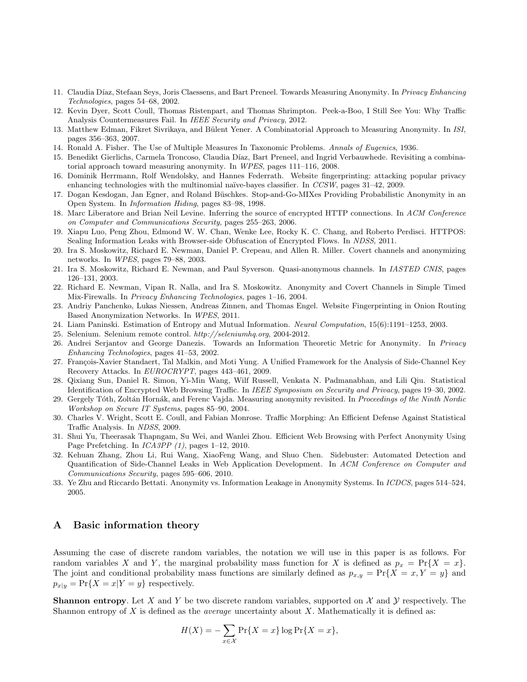- 11. Claudia Díaz, Stefaan Seys, Joris Claessens, and Bart Preneel. Towards Measuring Anonymity. In *Privacy Enhancing* Technologies, pages 54–68, 2002.
- 12. Kevin Dyer, Scott Coull, Thomas Ristenpart, and Thomas Shrimpton. Peek-a-Boo, I Still See You: Why Traffic Analysis Countermeasures Fail. In IEEE Security and Privacy, 2012.
- 13. Matthew Edman, Fikret Sivrikaya, and Bülent Yener. A Combinatorial Approach to Measuring Anonymity. In ISI, pages 356–363, 2007.
- 14. Ronald A. Fisher. The Use of Multiple Measures In Taxonomic Problems. Annals of Eugenics, 1936.
- 15. Benedikt Gierlichs, Carmela Troncoso, Claudia Díaz, Bart Preneel, and Ingrid Verbauwhede. Revisiting a combinatorial approach toward measuring anonymity. In WPES, pages 111–116, 2008.
- 16. Dominik Herrmann, Rolf Wendolsky, and Hannes Federrath. Website fingerprinting: attacking popular privacy enhancing technologies with the multinomial naïve-bayes classifier. In  $CCSW$ , pages 31–42, 2009.
- 17. Dogan Kesdogan, Jan Egner, and Roland Büschkes. Stop-and-Go-MIXes Providing Probabilistic Anonymity in an Open System. In Information Hiding, pages 83–98, 1998.
- 18. Marc Liberatore and Brian Neil Levine. Inferring the source of encrypted HTTP connections. In ACM Conference on Computer and Communications Security, pages 255–263, 2006.
- 19. Xiapu Luo, Peng Zhou, Edmond W. W. Chan, Wenke Lee, Rocky K. C. Chang, and Roberto Perdisci. HTTPOS: Sealing Information Leaks with Browser-side Obfuscation of Encrypted Flows. In NDSS, 2011.
- 20. Ira S. Moskowitz, Richard E. Newman, Daniel P. Crepeau, and Allen R. Miller. Covert channels and anonymizing networks. In WPES, pages 79–88, 2003.
- 21. Ira S. Moskowitz, Richard E. Newman, and Paul Syverson. Quasi-anonymous channels. In IASTED CNIS, pages 126–131, 2003.
- 22. Richard E. Newman, Vipan R. Nalla, and Ira S. Moskowitz. Anonymity and Covert Channels in Simple Timed Mix-Firewalls. In Privacy Enhancing Technologies, pages 1–16, 2004.
- 23. Andriy Panchenko, Lukas Niessen, Andreas Zinnen, and Thomas Engel. Website Fingerprinting in Onion Routing Based Anonymization Networks. In WPES, 2011.
- 24. Liam Paninski. Estimation of Entropy and Mutual Information. Neural Computation, 15(6):1191–1253, 2003.
- 25. Selenium. Selenium remote control. http://seleniumhq.org, 2004-2012.
- 26. Andrei Serjantov and George Danezis. Towards an Information Theoretic Metric for Anonymity. In Privacy Enhancing Technologies, pages 41–53, 2002.
- 27. François-Xavier Standaert, Tal Malkin, and Moti Yung. A Unified Framework for the Analysis of Side-Channel Key Recovery Attacks. In EUROCRYPT, pages 443–461, 2009.
- 28. Qixiang Sun, Daniel R. Simon, Yi-Min Wang, Wilf Russell, Venkata N. Padmanabhan, and Lili Qiu. Statistical Identification of Encrypted Web Browsing Traffic. In IEEE Symposium on Security and Privacy, pages 19–30, 2002.
- 29. Gergely Tóth, Zoltán Hornák, and Ferenc Vajda. Measuring anonymity revisited. In Proceedings of the Ninth Nordic Workshop on Secure IT Systems, pages 85–90, 2004.
- 30. Charles V. Wright, Scott E. Coull, and Fabian Monrose. Traffic Morphing: An Efficient Defense Against Statistical Traffic Analysis. In NDSS, 2009.
- 31. Shui Yu, Theerasak Thapngam, Su Wei, and Wanlei Zhou. Efficient Web Browsing with Perfect Anonymity Using Page Prefetching. In ICA3PP (1), pages 1–12, 2010.
- 32. Kehuan Zhang, Zhou Li, Rui Wang, XiaoFeng Wang, and Shuo Chen. Sidebuster: Automated Detection and Quantification of Side-Channel Leaks in Web Application Development. In ACM Conference on Computer and Communications Security, pages 595–606, 2010.
- 33. Ye Zhu and Riccardo Bettati. Anonymity vs. Information Leakage in Anonymity Systems. In ICDCS, pages 514–524, 2005.

### A Basic information theory

Assuming the case of discrete random variables, the notation we will use in this paper is as follows. For random variables X and Y, the marginal probability mass function for X is defined as  $p_x = \Pr\{X = x\}.$ The joint and conditional probability mass functions are similarly defined as  $p_{x,y} = \Pr\{X = x, Y = y\}$  and  $p_{x|y} = \Pr\{X = x|Y = y\}$  respectively.

**Shannon entropy**. Let X and Y be two discrete random variables, supported on  $\mathcal{X}$  and  $\mathcal{Y}$  respectively. The Shannon entropy of X is defined as the *average* uncertainty about X. Mathematically it is defined as:

$$
H(X) = -\sum_{x \in \mathcal{X}} \Pr\{X = x\} \log \Pr\{X = x\},\
$$